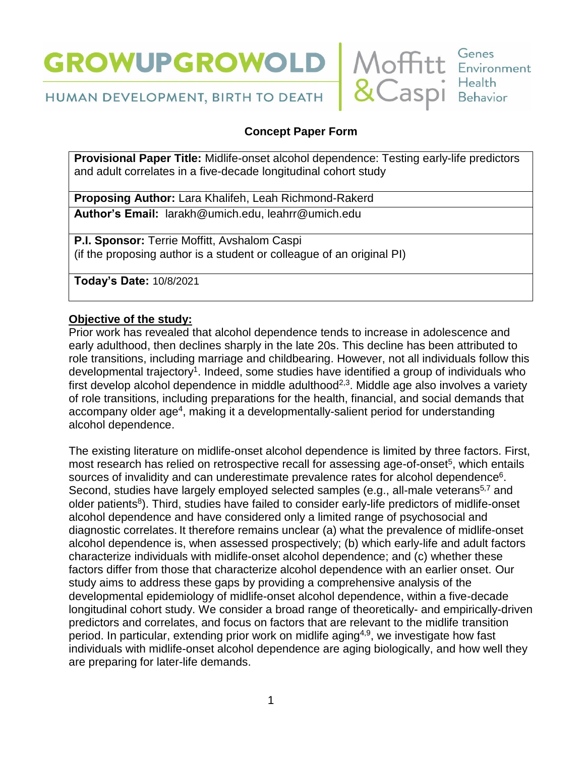



HUMAN DEVELOPMENT, BIRTH TO DEATH

# **Concept Paper Form**

**Provisional Paper Title:** Midlife-onset alcohol dependence: Testing early-life predictors and adult correlates in a five-decade longitudinal cohort study

**Proposing Author:** Lara Khalifeh, Leah Richmond-Rakerd

**Author's Email:** [larakh@umich.edu,](mailto:larakh@umich.edu) leahrr@umich.edu

**P.I. Sponsor:** Terrie Moffitt, Avshalom Caspi (if the proposing author is a student or colleague of an original PI)

**Today's Date:** 10/8/2021

# **Objective of the study:**

Prior work has revealed that alcohol dependence tends to increase in adolescence and early adulthood, then declines sharply in the late 20s. This decline has been attributed to role transitions, including marriage and childbearing. However, not all individuals follow this developmental trajectory<sup>1</sup>. Indeed, some studies have identified a group of individuals who first develop alcohol dependence in middle adulthood<sup>2,3</sup>. Middle age also involves a variety of role transitions, including preparations for the health, financial, and social demands that accompany older age<sup>4</sup>, making it a developmentally-salient period for understanding alcohol dependence.

The existing literature on midlife-onset alcohol dependence is limited by three factors. First, most research has relied on retrospective recall for assessing age-of-onset<sup>5</sup>, which entails sources of invalidity and can underestimate prevalence rates for alcohol dependence<sup>6</sup>. Second, studies have largely employed selected samples (e.g., all-male veterans<sup>5,7</sup> and older patients<sup>8</sup>). Third, studies have failed to consider early-life predictors of midlife-onset alcohol dependence and have considered only a limited range of psychosocial and diagnostic correlates. It therefore remains unclear (a) what the prevalence of midlife-onset alcohol dependence is, when assessed prospectively; (b) which early-life and adult factors characterize individuals with midlife-onset alcohol dependence; and (c) whether these factors differ from those that characterize alcohol dependence with an earlier onset. Our study aims to address these gaps by providing a comprehensive analysis of the developmental epidemiology of midlife-onset alcohol dependence, within a five-decade longitudinal cohort study. We consider a broad range of theoretically- and empirically-driven predictors and correlates, and focus on factors that are relevant to the midlife transition period. In particular, extending prior work on midlife aging<sup>4,9</sup>, we investigate how fast individuals with midlife-onset alcohol dependence are aging biologically, and how well they are preparing for later-life demands.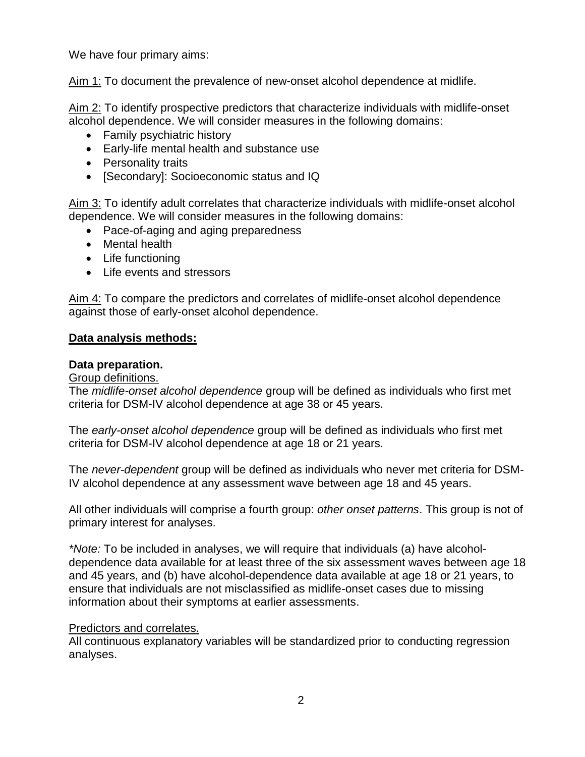We have four primary aims:

Aim 1: To document the prevalence of new-onset alcohol dependence at midlife.

Aim 2: To identify prospective predictors that characterize individuals with midlife-onset alcohol dependence. We will consider measures in the following domains:

- Family psychiatric history
- Early-life mental health and substance use
- Personality traits
- [Secondary]: Socioeconomic status and IQ

Aim 3: To identify adult correlates that characterize individuals with midlife-onset alcohol dependence. We will consider measures in the following domains:

- Pace-of-aging and aging preparedness
- Mental health
- Life functioning
- Life events and stressors

Aim 4: To compare the predictors and correlates of midlife-onset alcohol dependence against those of early-onset alcohol dependence.

### **Data analysis methods:**

#### **Data preparation.**

## Group definitions.

The *midlife-onset alcohol dependence* group will be defined as individuals who first met criteria for DSM-IV alcohol dependence at age 38 or 45 years.

The *early-onset alcohol dependence* group will be defined as individuals who first met criteria for DSM-IV alcohol dependence at age 18 or 21 years.

The *never-dependent* group will be defined as individuals who never met criteria for DSM-IV alcohol dependence at any assessment wave between age 18 and 45 years.

All other individuals will comprise a fourth group: *other onset patterns*. This group is not of primary interest for analyses.

*\*Note:* To be included in analyses, we will require that individuals (a) have alcoholdependence data available for at least three of the six assessment waves between age 18 and 45 years, and (b) have alcohol-dependence data available at age 18 or 21 years, to ensure that individuals are not misclassified as midlife-onset cases due to missing information about their symptoms at earlier assessments.

### Predictors and correlates.

All continuous explanatory variables will be standardized prior to conducting regression analyses.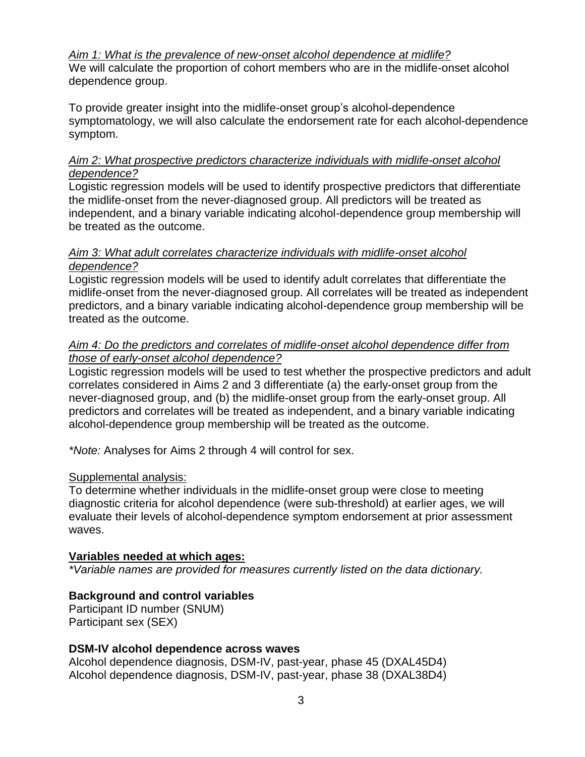### *Aim 1: What is the prevalence of new-onset alcohol dependence at midlife?*

We will calculate the proportion of cohort members who are in the midlife-onset alcohol dependence group.

To provide greater insight into the midlife-onset group's alcohol-dependence symptomatology, we will also calculate the endorsement rate for each alcohol-dependence symptom.

### *Aim 2: What prospective predictors characterize individuals with midlife-onset alcohol dependence?*

Logistic regression models will be used to identify prospective predictors that differentiate the midlife-onset from the never-diagnosed group. All predictors will be treated as independent, and a binary variable indicating alcohol-dependence group membership will be treated as the outcome.

### *Aim 3: What adult correlates characterize individuals with midlife-onset alcohol dependence?*

Logistic regression models will be used to identify adult correlates that differentiate the midlife-onset from the never-diagnosed group. All correlates will be treated as independent predictors, and a binary variable indicating alcohol-dependence group membership will be treated as the outcome.

### *Aim 4: Do the predictors and correlates of midlife-onset alcohol dependence differ from those of early-onset alcohol dependence?*

Logistic regression models will be used to test whether the prospective predictors and adult correlates considered in Aims 2 and 3 differentiate (a) the early-onset group from the never-diagnosed group, and (b) the midlife-onset group from the early-onset group. All predictors and correlates will be treated as independent, and a binary variable indicating alcohol-dependence group membership will be treated as the outcome.

*\*Note:* Analyses for Aims 2 through 4 will control for sex.

# Supplemental analysis:

To determine whether individuals in the midlife-onset group were close to meeting diagnostic criteria for alcohol dependence (were sub-threshold) at earlier ages, we will evaluate their levels of alcohol-dependence symptom endorsement at prior assessment waves.

### **Variables needed at which ages:**

*\*Variable names are provided for measures currently listed on the data dictionary.*

# **Background and control variables**

Participant ID number (SNUM) Participant sex (SEX)

### **DSM-IV alcohol dependence across waves**

Alcohol dependence diagnosis, DSM-IV, past-year, phase 45 (DXAL45D4) Alcohol dependence diagnosis, DSM-IV, past-year, phase 38 (DXAL38D4)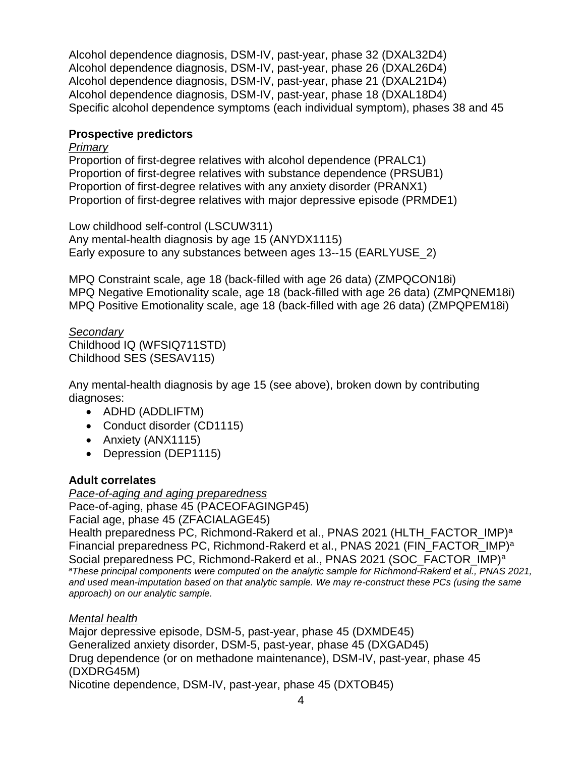Alcohol dependence diagnosis, DSM-IV, past-year, phase 32 (DXAL32D4) Alcohol dependence diagnosis, DSM-IV, past-year, phase 26 (DXAL26D4) Alcohol dependence diagnosis, DSM-IV, past-year, phase 21 (DXAL21D4) Alcohol dependence diagnosis, DSM-IV, past-year, phase 18 (DXAL18D4) Specific alcohol dependence symptoms (each individual symptom), phases 38 and 45

## **Prospective predictors**

#### *Primary*

Proportion of first-degree relatives with alcohol dependence (PRALC1) Proportion of first-degree relatives with substance dependence (PRSUB1) Proportion of first-degree relatives with any anxiety disorder (PRANX1) Proportion of first-degree relatives with major depressive episode (PRMDE1)

Low childhood self-control (LSCUW311) Any mental-health diagnosis by age 15 (ANYDX1115) Early exposure to any substances between ages 13--15 (EARLYUSE\_2)

MPQ Constraint scale, age 18 (back-filled with age 26 data) (ZMPQCON18i) MPQ Negative Emotionality scale, age 18 (back-filled with age 26 data) (ZMPQNEM18i) MPQ Positive Emotionality scale, age 18 (back-filled with age 26 data) (ZMPQPEM18i)

*Secondary* Childhood IQ (WFSIQ711STD) Childhood SES (SESAV115)

Any mental-health diagnosis by age 15 (see above), broken down by contributing diagnoses:

- ADHD (ADDLIFTM)
- Conduct disorder (CD1115)
- Anxiety (ANX1115)
- Depression (DEP1115)

# **Adult correlates**

*Pace-of-aging and aging preparedness* Pace-of-aging, phase 45 (PACEOFAGINGP45)

Facial age, phase 45 (ZFACIALAGE45)

Health preparedness PC, Richmond-Rakerd et al., PNAS 2021 (HLTH\_FACTOR\_IMP)<sup>a</sup> Financial preparedness PC, Richmond-Rakerd et al., PNAS 2021 (FIN\_FACTOR\_IMP)<sup>a</sup> Social preparedness PC, Richmond-Rakerd et al., PNAS 2021 (SOC\_FACTOR\_IMP)<sup>a</sup> *<sup>a</sup>These principal components were computed on the analytic sample for Richmond-Rakerd et al., PNAS 2021, and used mean-imputation based on that analytic sample. We may re-construct these PCs (using the same approach) on our analytic sample.*

# *Mental health*

Major depressive episode, DSM-5, past-year, phase 45 (DXMDE45) Generalized anxiety disorder, DSM-5, past-year, phase 45 (DXGAD45) Drug dependence (or on methadone maintenance), DSM-IV, past-year, phase 45 (DXDRG45M) Nicotine dependence, DSM-IV, past-year, phase 45 (DXTOB45)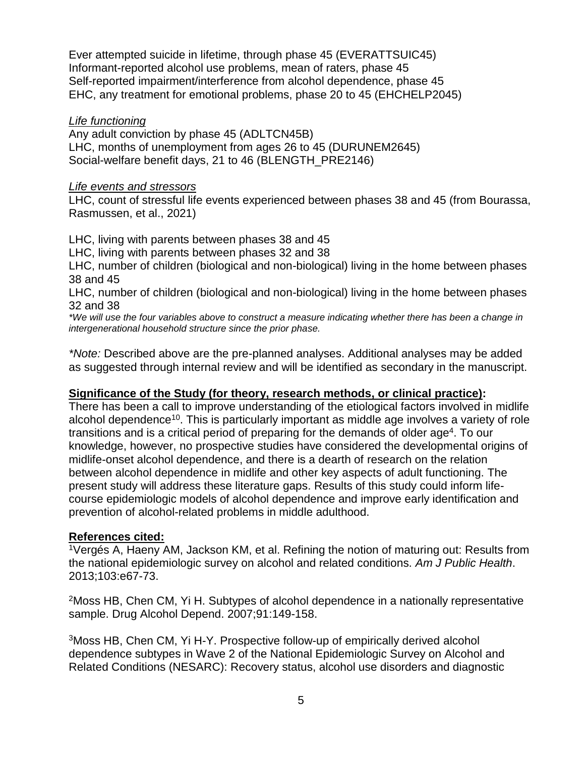Ever attempted suicide in lifetime, through phase 45 (EVERATTSUIC45) Informant-reported alcohol use problems, mean of raters, phase 45 Self-reported impairment/interference from alcohol dependence, phase 45 EHC, any treatment for emotional problems, phase 20 to 45 (EHCHELP2045)

#### *Life functioning*

Any adult conviction by phase 45 (ADLTCN45B) LHC, months of unemployment from ages 26 to 45 (DURUNEM2645) Social-welfare benefit days, 21 to 46 (BLENGTH\_PRE2146)

#### *Life events and stressors*

LHC, count of stressful life events experienced between phases 38 and 45 (from Bourassa, Rasmussen, et al., 2021)

LHC, living with parents between phases 38 and 45

LHC, living with parents between phases 32 and 38

LHC, number of children (biological and non-biological) living in the home between phases 38 and 45

LHC, number of children (biological and non-biological) living in the home between phases 32 and 38

*\*We will use the four variables above to construct a measure indicating whether there has been a change in intergenerational household structure since the prior phase.* 

*\*Note:* Described above are the pre-planned analyses. Additional analyses may be added as suggested through internal review and will be identified as secondary in the manuscript.

### **Significance of the Study (for theory, research methods, or clinical practice):**

There has been a call to improve understanding of the etiological factors involved in midlife alcohol dependence<sup>10</sup>. This is particularly important as middle age involves a variety of role transitions and is a critical period of preparing for the demands of older age<sup>4</sup>. To our knowledge, however, no prospective studies have considered the developmental origins of midlife-onset alcohol dependence, and there is a dearth of research on the relation between alcohol dependence in midlife and other key aspects of adult functioning. The present study will address these literature gaps. Results of this study could inform lifecourse epidemiologic models of alcohol dependence and improve early identification and prevention of alcohol-related problems in middle adulthood.

### **References cited:**

<sup>1</sup>Vergés A, Haeny AM, Jackson KM, et al. Refining the notion of maturing out: Results from the national epidemiologic survey on alcohol and related conditions. *Am J Public Health*. 2013;103:e67-73.

<sup>2</sup>Moss HB, Chen CM, Yi H. Subtypes of alcohol dependence in a nationally representative sample. Drug Alcohol Depend. 2007;91:149-158.

<sup>3</sup>Moss HB, Chen CM, Yi H-Y. Prospective follow-up of empirically derived alcohol dependence subtypes in Wave 2 of the National Epidemiologic Survey on Alcohol and Related Conditions (NESARC): Recovery status, alcohol use disorders and diagnostic